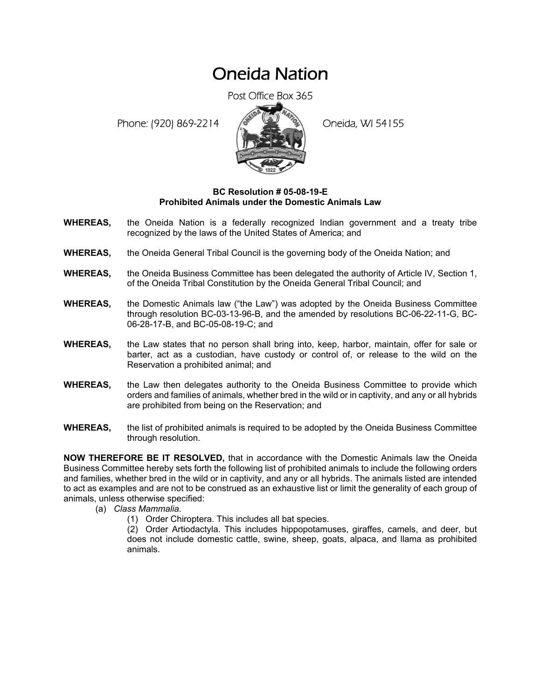## Oneida Nation

Post Office Box 365

Phone: (920) 869-2214 (8 April 194155)



## **BC Resolution # 05-08-19-E Prohibited Animals under the Domestic Animals Law**

- **WHEREAS,** the Oneida Nation is a federally recognized Indian government and a treaty tribe recognized by the laws of the United States of America; and
- **WHEREAS,** the Oneida General Tribal Council is the governing body of the Oneida Nation; and
- **WHEREAS,** the Oneida Business Committee has been delegated the authority of Article IV, Section 1, of the Oneida Tribal Constitution by the Oneida General Tribal Council; and
- **WHEREAS,** the Domestic Animals law ("the Law") was adopted by the Oneida Business Committee through resolution BC-03-13-96-B, and the amended by resolutions BC-06-22-11-G, BC-06-28-17-B, and BC-05-08-19-C; and
- **WHEREAS,** the Law states that no person shall bring into, keep, harbor, maintain, offer for sale or barter, act as a custodian, have custody or control of, or release to the wild on the Reservation a prohibited animal; and
- **WHEREAS,** the Law then delegates authority to the Oneida Business Committee to provide which orders and families of animals, whether bred in the wild or in captivity, and any or all hybrids are prohibited from being on the Reservation; and
- **WHEREAS,** the list of prohibited animals is required to be adopted by the Oneida Business Committee through resolution.

**NOW THEREFORE BE IT RESOLVED,** that in accordance with the Domestic Animals law the Oneida Business Committee hereby sets forth the following list of prohibited animals to include the following orders and families, whether bred in the wild or in captivity, and any or all hybrids. The animals listed are intended to act as examples and are not to be construed as an exhaustive list or limit the generality of each group of animals, unless otherwise specified:

- (a) *Class Mammalia*.
	- (1) Order Chiroptera. This includes all bat species.

(2) Order Artiodactyla. This includes hippopotamuses, giraffes, camels, and deer, but does not include domestic cattle, swine, sheep, goats, alpaca, and llama as prohibited animals.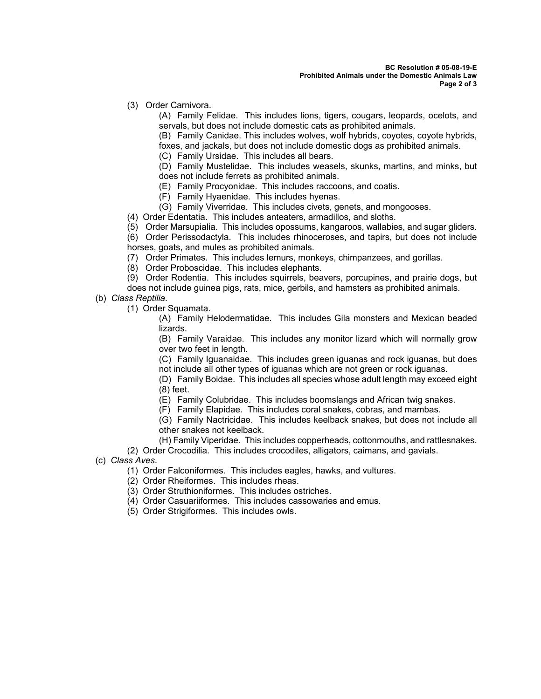(3) Order Carnivora.

(A) Family Felidae. This includes lions, tigers, cougars, leopards, ocelots, and servals, but does not include domestic cats as prohibited animals.

(B) Family Canidae. This includes wolves, wolf hybrids, coyotes, coyote hybrids, foxes, and jackals, but does not include domestic dogs as prohibited animals.

(C) Family Ursidae. This includes all bears.

(D) Family Mustelidae. This includes weasels, skunks, martins, and minks, but does not include ferrets as prohibited animals.

(E) Family Procyonidae. This includes raccoons, and coatis.

(F) Family Hyaenidae. This includes hyenas.

(G) Family Viverridae. This includes civets, genets, and mongooses.

(4) Order Edentatia. This includes anteaters, armadillos, and sloths.

(5) Order Marsupialia. This includes opossums, kangaroos, wallabies, and sugar gliders.

(6) Order Perissodactyla. This includes rhinoceroses, and tapirs, but does not include horses, goats, and mules as prohibited animals.

(7) Order Primates. This includes lemurs, monkeys, chimpanzees, and gorillas.

(8) Order Proboscidae. This includes elephants.

(9) Order Rodentia. This includes squirrels, beavers, porcupines, and prairie dogs, but does not include guinea pigs, rats, mice, gerbils, and hamsters as prohibited animals.

(b) *Class Reptilia*.

(1) Order Squamata.

(A) Family Helodermatidae. This includes Gila monsters and Mexican beaded lizards.

(B) Family Varaidae. This includes any monitor lizard which will normally grow over two feet in length.

(C) Family Iguanaidae. This includes green iguanas and rock iguanas, but does not include all other types of iguanas which are not green or rock iguanas.

(D) Family Boidae. This includes all species whose adult length may exceed eight (8) feet.

(E) Family Colubridae. This includes boomslangs and African twig snakes.

(F) Family Elapidae. This includes coral snakes, cobras, and mambas.

(G) Family Nactricidae. This includes keelback snakes, but does not include all other snakes not keelback.

(H) Family Viperidae. This includes copperheads, cottonmouths, and rattlesnakes.

(2) Order Crocodilia. This includes crocodiles, alligators, caimans, and gavials.

(c) *Class Aves*.

(1) Order Falconiformes. This includes eagles, hawks, and vultures.

(2) Order Rheiformes. This includes rheas.

(3) Order Struthioniformes. This includes ostriches.

- (4) Order Casuariiformes. This includes cassowaries and emus.
- (5) Order Strigiformes. This includes owls.